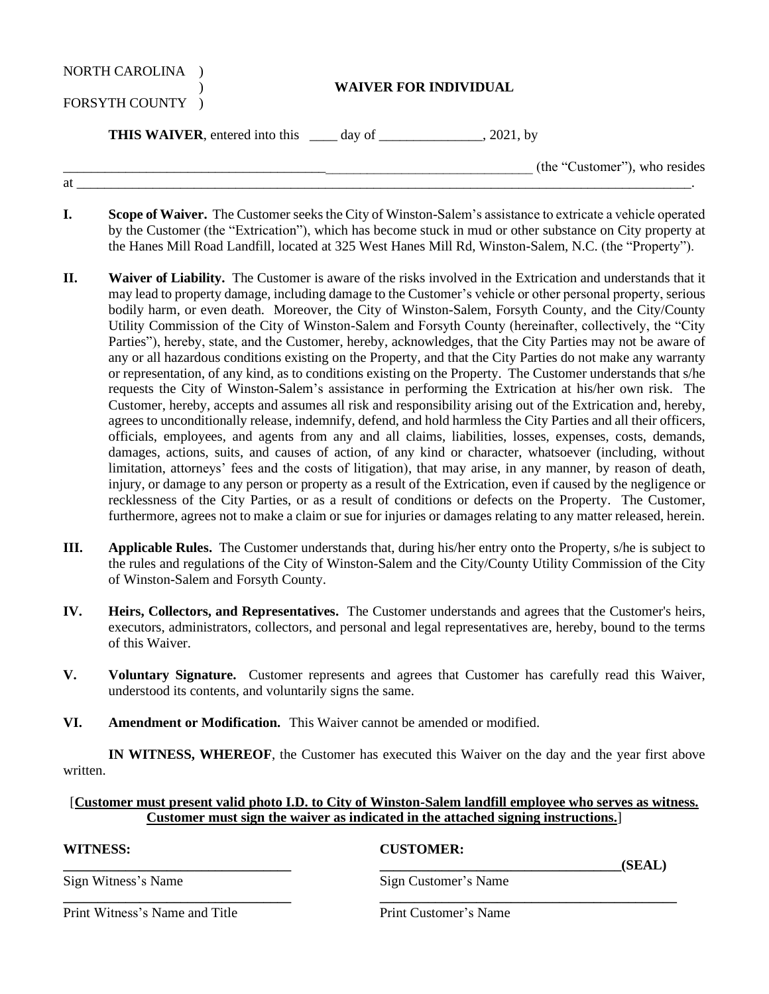| NORTH CAROLINA<br>FORSYTH COUNTY ) | <b>WAIVER FOR INDIVIDUAL</b> |                               |
|------------------------------------|------------------------------|-------------------------------|
|                                    |                              | , 2021, by                    |
|                                    |                              | (the "Customer"), who resides |
| at                                 |                              |                               |

- **I. Scope of Waiver.** The Customer seeks the City of Winston-Salem's assistance to extricate a vehicle operated by the Customer (the "Extrication"), which has become stuck in mud or other substance on City property at the Hanes Mill Road Landfill, located at 325 West Hanes Mill Rd, Winston-Salem, N.C. (the "Property").
- **II. Waiver of Liability.** The Customer is aware of the risks involved in the Extrication and understands that it may lead to property damage, including damage to the Customer's vehicle or other personal property, serious bodily harm, or even death. Moreover, the City of Winston-Salem, Forsyth County, and the City/County Utility Commission of the City of Winston-Salem and Forsyth County (hereinafter, collectively, the "City Parties"), hereby, state, and the Customer, hereby, acknowledges, that the City Parties may not be aware of any or all hazardous conditions existing on the Property, and that the City Parties do not make any warranty or representation, of any kind, as to conditions existing on the Property. The Customer understands that s/he requests the City of Winston-Salem's assistance in performing the Extrication at his/her own risk. The Customer, hereby, accepts and assumes all risk and responsibility arising out of the Extrication and, hereby, agrees to unconditionally release, indemnify, defend, and hold harmless the City Parties and all their officers, officials, employees, and agents from any and all claims, liabilities, losses, expenses, costs, demands, damages, actions, suits, and causes of action, of any kind or character, whatsoever (including, without limitation, attorneys' fees and the costs of litigation), that may arise, in any manner, by reason of death, injury, or damage to any person or property as a result of the Extrication, even if caused by the negligence or recklessness of the City Parties, or as a result of conditions or defects on the Property. The Customer, furthermore, agrees not to make a claim or sue for injuries or damages relating to any matter released, herein.
- **III. Applicable Rules.** The Customer understands that, during his/her entry onto the Property, s/he is subject to the rules and regulations of the City of Winston-Salem and the City/County Utility Commission of the City of Winston-Salem and Forsyth County.
- **IV. Heirs, Collectors, and Representatives.** The Customer understands and agrees that the Customer's heirs, executors, administrators, collectors, and personal and legal representatives are, hereby, bound to the terms of this Waiver.
- **V. Voluntary Signature.** Customer represents and agrees that Customer has carefully read this Waiver, understood its contents, and voluntarily signs the same.
- **VI. Amendment or Modification.** This Waiver cannot be amended or modified.

**IN WITNESS, WHEREOF**, the Customer has executed this Waiver on the day and the year first above written.

## [**Customer must present valid photo I.D. to City of Winston-Salem landfill employee who serves as witness. Customer must sign the waiver as indicated in the attached signing instructions.**]

| WITNESS:                       | <b>CUSTOMER:</b>      |        |
|--------------------------------|-----------------------|--------|
| Sign Witness's Name            | Sign Customer's Name  | (SEAL) |
| Print Witness's Name and Title | Print Customer's Name |        |